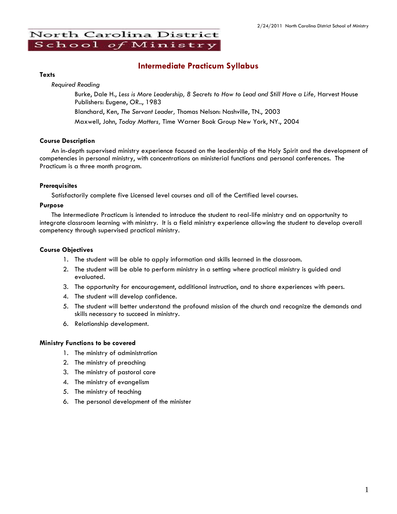# North Carolina District School of Ministry

# **Intermediate Practicum Syllabus**

#### **Texts**

*Required Reading*

Burke, Dale H., *Less is More Leadership, 8 Secrets to How to Lead and Still Have a Life,* Harvest House Publishers: Eugene, OR.., 1983 Blanchard, Ken, *The Servant Leader,* Thomas Nelson: Nashville, TN., 2003

Maxwell, John, *Today Matters,* Time Warner Book Group New York, NY., 2004

## **Course Description**

An in-depth supervised ministry experience focused on the leadership of the Holy Spirit and the development of competencies in personal ministry, with concentrations on ministerial functions and personal conferences. The Practicum is a three month program.

# **Prerequisites**

Satisfactorily complete five Licensed level courses and all of the Certified level courses.

## **Purpose**

The Intermediate Practicum is intended to introduce the student to real-life ministry and an opportunity to integrate classroom learning with ministry. It is a field ministry experience allowing the student to develop overall competency through supervised practical ministry.

# **Course Objectives**

- 1. The student will be able to apply information and skills learned in the classroom.
- 2. The student will be able to perform ministry in a setting where practical ministry is guided and evaluated.
- 3. The opportunity for encouragement, additional instruction, and to share experiences with peers.
- 4. The student will develop confidence.
- 5. The student will better understand the profound mission of the church and recognize the demands and skills necessary to succeed in ministry.
- 6. Relationship development.

## **Ministry Functions to be covered**

- 1. The ministry of administration
- 2. The ministry of preaching
- 3. The ministry of pastoral care
- 4. The ministry of evangelism
- 5. The ministry of teaching
- 6. The personal development of the minister